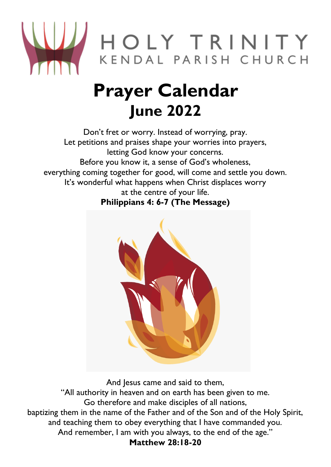

## **Prayer Calendar June 2022**

Don't fret or worry. Instead of worrying, pray. Let petitions and praises shape your worries into prayers, letting God know your concerns. Before you know it, a sense of God's wholeness, everything coming together for good, will come and settle you down. It's wonderful what happens when Christ displaces worry at the centre of your life. **Philippians 4: 6-7 (The Message)**



And Jesus came and said to them, "All authority in heaven and on earth has been given to me. Go therefore and make disciples of all nations, baptizing them in the name of the Father and of the Son and of the Holy Spirit, and teaching them to obey everything that I have commanded you. And remember, I am with you always, to the end of the age." **Matthew 28:18-20**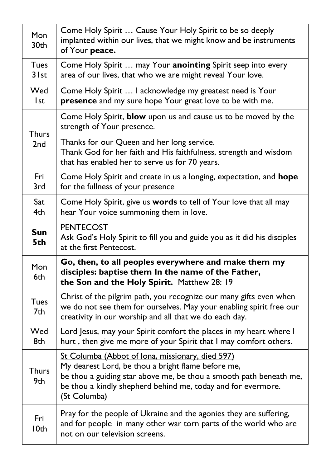| Mon<br>30th             | Come Holy Spirit  Cause Your Holy Spirit to be so deeply<br>implanted within our lives, that we might know and be instruments<br>of Your peace.                                                                                                              |
|-------------------------|--------------------------------------------------------------------------------------------------------------------------------------------------------------------------------------------------------------------------------------------------------------|
| <b>Tues</b><br>$3$ I st | Come Holy Spirit  may Your anointing Spirit seep into every<br>area of our lives, that who we are might reveal Your love.                                                                                                                                    |
| Wed<br>l st             | Come Holy Spirit  I acknowledge my greatest need is Your<br>presence and my sure hope Your great love to be with me.                                                                                                                                         |
| <b>Thurs</b><br>2nd     | Come Holy Spirit, blow upon us and cause us to be moved by the<br>strength of Your presence.                                                                                                                                                                 |
|                         | Thanks for our Queen and her long service.<br>Thank God for her faith and His faithfulness, strength and wisdom<br>that has enabled her to serve us for 70 years.                                                                                            |
| Fri<br>3rd              | Come Holy Spirit and create in us a longing, expectation, and hope<br>for the fullness of your presence                                                                                                                                                      |
| Sat<br>4th              | Come Holy Spirit, give us words to tell of Your love that all may<br>hear Your voice summoning them in love.                                                                                                                                                 |
| <b>Sun</b><br>5th       | <b>PENTECOST</b><br>Ask God's Holy Spirit to fill you and guide you as it did his disciples<br>at the first Pentecost.                                                                                                                                       |
| Mon<br>6th              | Go, then, to all peoples everywhere and make them my<br>disciples: baptise them In the name of the Father,<br>the Son and the Holy Spirit. Matthew 28: 19                                                                                                    |
| <b>Tues</b><br>7th      | Christ of the pilgrim path, you recognize our many gifts even when<br>we do not see them for ourselves. May your enabling spirit free our<br>creativity in our worship and all that we do each day.                                                          |
| Wed<br>8th              | Lord Jesus, may your Spirit comfort the places in my heart where I<br>hurt, then give me more of your Spirit that I may comfort others.                                                                                                                      |
| <b>Thurs</b><br>9th     | St Columba (Abbot of Iona, missionary, died 597)<br>My dearest Lord, be thou a bright flame before me,<br>be thou a guiding star above me, be thou a smooth path beneath me,<br>be thou a kindly shepherd behind me, today and for evermore.<br>(St Columba) |
| Fri<br>10th             | Pray for the people of Ukraine and the agonies they are suffering,<br>and for people in many other war torn parts of the world who are<br>not on our television screens.                                                                                     |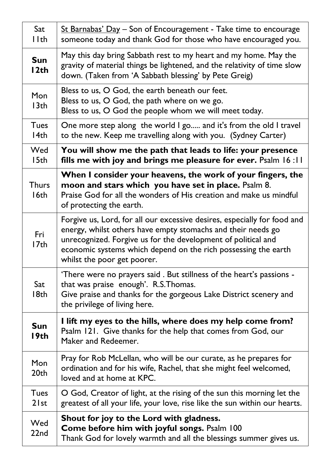| Sat<br>l Ith            | St Barnabas' Day - Son of Encouragement - Take time to encourage<br>someone today and thank God for those who have encouraged you.                                                                                                                                                                         |
|-------------------------|------------------------------------------------------------------------------------------------------------------------------------------------------------------------------------------------------------------------------------------------------------------------------------------------------------|
| <b>Sun</b><br>12th      | May this day bring Sabbath rest to my heart and my home. May the<br>gravity of material things be lightened, and the relativity of time slow<br>down. (Taken from 'A Sabbath blessing' by Pete Greig)                                                                                                      |
| Mon<br>13 <sub>th</sub> | Bless to us, O God, the earth beneath our feet.<br>Bless to us, O God, the path where on we go.<br>Bless to us, O God the people whom we will meet today.                                                                                                                                                  |
| <b>Tues</b><br>14th     | One more step along the world I go and it's from the old I travel<br>to the new. Keep me travelling along with you. (Sydney Carter)                                                                                                                                                                        |
| Wed<br>15th             | You will show me the path that leads to life: your presence<br>fills me with joy and brings me pleasure for ever. Psalm 16:11                                                                                                                                                                              |
| <b>Thurs</b><br>16th    | When I consider your heavens, the work of your fingers, the<br>moon and stars which you have set in place. Psalm 8.<br>Praise God for all the wonders of His creation and make us mindful<br>of protecting the earth.                                                                                      |
| Fri<br>I7th             | Forgive us, Lord, for all our excessive desires, especially for food and<br>energy, whilst others have empty stomachs and their needs go<br>unrecognized. Forgive us for the development of political and<br>economic systems which depend on the rich possessing the earth<br>whilst the poor get poorer. |
| Sat<br>18th             | 'There were no prayers said. But stillness of the heart's passions -<br>that was praise enough'. R.S.Thomas.<br>Give praise and thanks for the gorgeous Lake District scenery and<br>the privilege of living here.                                                                                         |
| <b>Sun</b><br>I9th      | I lift my eyes to the hills, where does my help come from?<br>Psalm 121. Give thanks for the help that comes from God, our<br>Maker and Redeemer.                                                                                                                                                          |
| Mon<br>20th             | Pray for Rob McLellan, who will be our curate, as he prepares for<br>ordination and for his wife, Rachel, that she might feel welcomed,<br>loved and at home at KPC.                                                                                                                                       |
| <b>Tues</b><br>$2$ lst  | O God, Creator of light, at the rising of the sun this morning let the<br>greatest of all your life, your love, rise like the sun within our hearts.                                                                                                                                                       |
| Wed<br>22nd             | Shout for joy to the Lord with gladness.<br>Come before him with joyful songs. Psalm 100<br>Thank God for lovely warmth and all the blessings summer gives us.                                                                                                                                             |